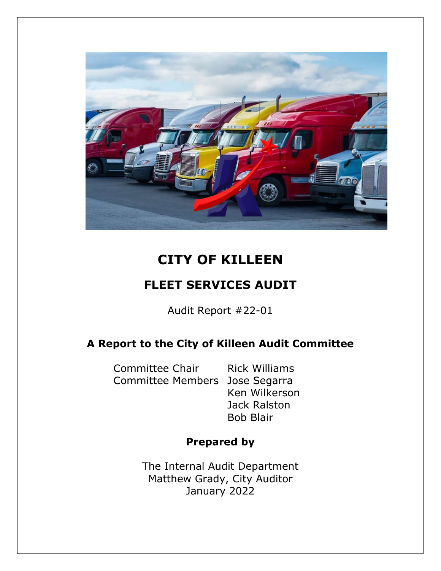

# **CITY OF KILLEEN**

# **FLEET SERVICES AUDIT**

Audit Report #22-01

## **A Report to the City of Killeen Audit Committee**

Committee Chair Rick Williams Committee Members Jose Segarra

Ken Wilkerson Jack Ralston Bob Blair

## **Prepared by**

The Internal Audit Department Matthew Grady, City Auditor January 2022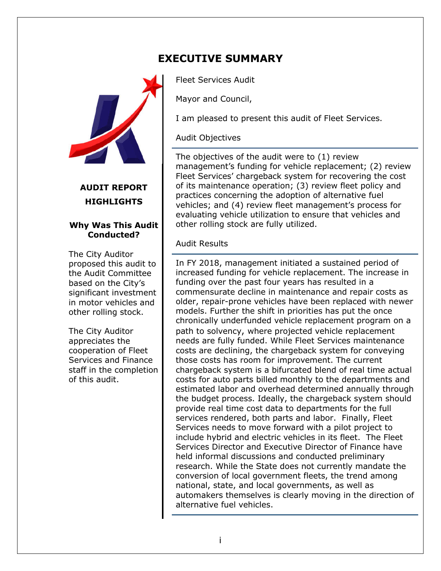

### **AUDIT REPORT HIGHLIGHTS**

#### **Why Was This Audit Conducted?**

The City Auditor proposed this audit to the Audit Committee based on the City's significant investment in motor vehicles and other rolling stock.

The City Auditor appreciates the cooperation of Fleet Services and Finance staff in the completion of this audit.

# **EXECUTIVE SUMMARY**

Fleet Services Audit

Mayor and Council,

I am pleased to present this audit of Fleet Services.

#### Audit Objectives

The objectives of the audit were to (1) review management's funding for vehicle replacement; (2) review Fleet Services' chargeback system for recovering the cost of its maintenance operation; (3) review fleet policy and practices concerning the adoption of alternative fuel vehicles; and (4) review fleet management's process for evaluating vehicle utilization to ensure that vehicles and other rolling stock are fully utilized.

Audit Results

In FY 2018, management initiated a sustained period of increased funding for vehicle replacement. The increase in funding over the past four years has resulted in a commensurate decline in maintenance and repair costs as older, repair-prone vehicles have been replaced with newer models. Further the shift in priorities has put the once chronically underfunded vehicle replacement program on a path to solvency, where projected vehicle replacement needs are fully funded. While Fleet Services maintenance costs are declining, the chargeback system for conveying those costs has room for improvement. The current chargeback system is a bifurcated blend of real time actual costs for auto parts billed monthly to the departments and estimated labor and overhead determined annually through the budget process. Ideally, the chargeback system should provide real time cost data to departments for the full services rendered, both parts and labor. Finally, Fleet Services needs to move forward with a pilot project to include hybrid and electric vehicles in its fleet. The Fleet Services Director and Executive Director of Finance have held informal discussions and conducted preliminary research. While the State does not currently mandate the conversion of local government fleets, the trend among national, state, and local governments, as well as automakers themselves is clearly moving in the direction of alternative fuel vehicles.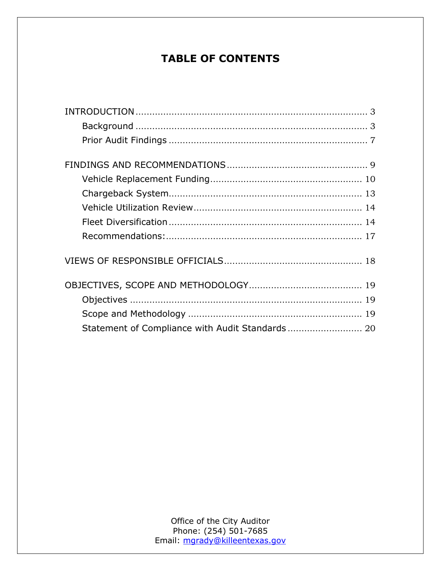# **TABLE OF CONTENTS**

| Statement of Compliance with Audit Standards 20 |  |
|-------------------------------------------------|--|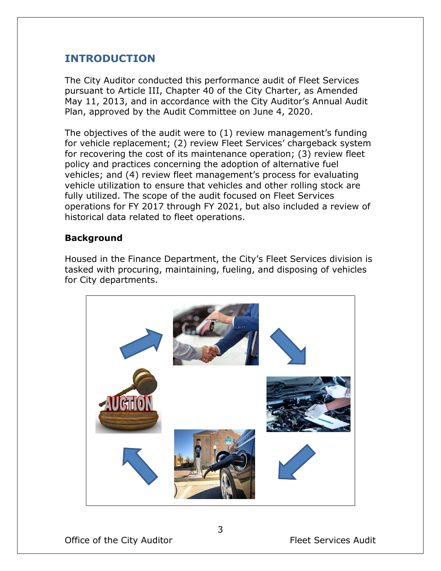### **INTRODUCTION**

The City Auditor conducted this performance audit of Fleet Services pursuant to Article III, Chapter 40 of the City Charter, as Amended May 11, 2013, and in accordance with the City Auditor's Annual Audit Plan, approved by the Audit Committee on June 4, 2020.

The objectives of the audit were to (1) review management's funding for vehicle replacement; (2) review Fleet Services' chargeback system for recovering the cost of its maintenance operation; (3) review fleet policy and practices concerning the adoption of alternative fuel vehicles; and (4) review fleet management's process for evaluating vehicle utilization to ensure that vehicles and other rolling stock are fully utilized. The scope of the audit focused on Fleet Services operations for FY 2017 through FY 2021, but also included a review of historical data related to fleet operations.

#### **Background**

Housed in the Finance Department, the City's Fleet Services division is tasked with procuring, maintaining, fueling, and disposing of vehicles for City departments.

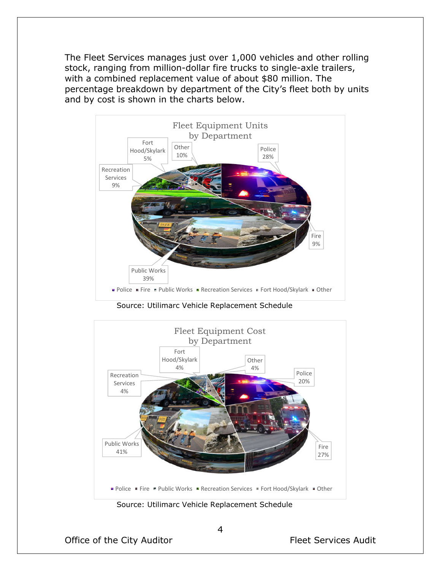The Fleet Services manages just over 1,000 vehicles and other rolling stock, ranging from million-dollar fire trucks to single-axle trailers, with a combined replacement value of about \$80 million. The percentage breakdown by department of the City's fleet both by units and by cost is shown in the charts below.



Source: Utilimarc Vehicle Replacement Schedule

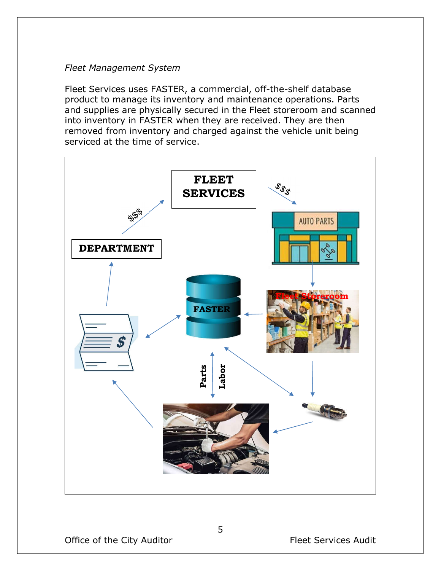#### *Fleet Management System*

Fleet Services uses FASTER, a commercial, off-the-shelf database product to manage its inventory and maintenance operations. Parts and supplies are physically secured in the Fleet storeroom and scanned into inventory in FASTER when they are received. They are then removed from inventory and charged against the vehicle unit being serviced at the time of service.

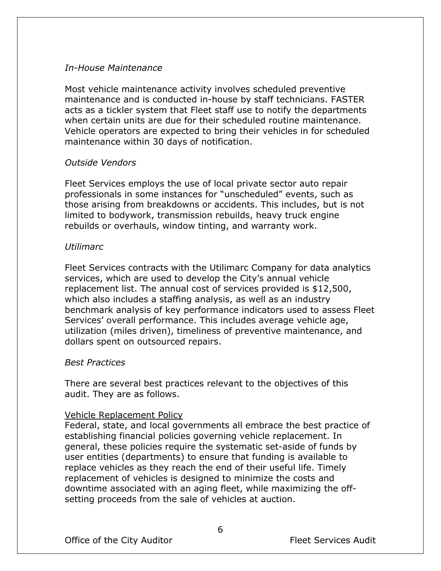#### *In-House Maintenance*

Most vehicle maintenance activity involves scheduled preventive maintenance and is conducted in-house by staff technicians. FASTER acts as a tickler system that Fleet staff use to notify the departments when certain units are due for their scheduled routine maintenance. Vehicle operators are expected to bring their vehicles in for scheduled maintenance within 30 days of notification.

#### *Outside Vendors*

Fleet Services employs the use of local private sector auto repair professionals in some instances for "unscheduled" events, such as those arising from breakdowns or accidents. This includes, but is not limited to bodywork, transmission rebuilds, heavy truck engine rebuilds or overhauls, window tinting, and warranty work.

#### *Utilimarc*

Fleet Services contracts with the Utilimarc Company for data analytics services, which are used to develop the City's annual vehicle replacement list. The annual cost of services provided is \$12,500, which also includes a staffing analysis, as well as an industry benchmark analysis of key performance indicators used to assess Fleet Services' overall performance. This includes average vehicle age, utilization (miles driven), timeliness of preventive maintenance, and dollars spent on outsourced repairs.

#### *Best Practices*

There are several best practices relevant to the objectives of this audit. They are as follows.

#### Vehicle Replacement Policy

Federal, state, and local governments all embrace the best practice of establishing financial policies governing vehicle replacement. In general, these policies require the systematic set-aside of funds by user entities (departments) to ensure that funding is available to replace vehicles as they reach the end of their useful life. Timely replacement of vehicles is designed to minimize the costs and downtime associated with an aging fleet, while maximizing the offsetting proceeds from the sale of vehicles at auction.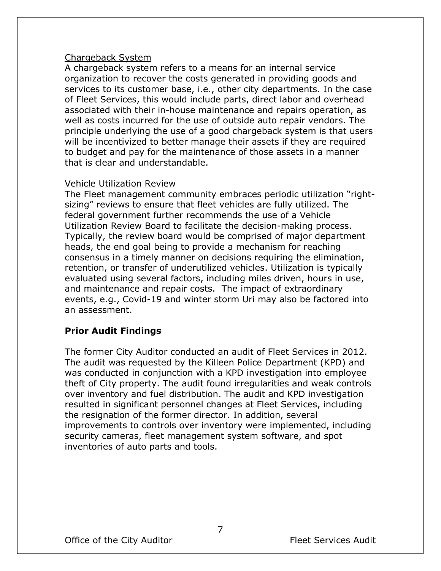#### Chargeback System

A chargeback system refers to a means for an internal service organization to recover the costs generated in providing goods and services to its customer base, i.e., other city departments. In the case of Fleet Services, this would include parts, direct labor and overhead associated with their in-house maintenance and repairs operation, as well as costs incurred for the use of outside auto repair vendors. The principle underlying the use of a good chargeback system is that users will be incentivized to better manage their assets if they are required to budget and pay for the maintenance of those assets in a manner that is clear and understandable.

#### Vehicle Utilization Review

The Fleet management community embraces periodic utilization "rightsizing" reviews to ensure that fleet vehicles are fully utilized. The federal government further recommends the use of a Vehicle Utilization Review Board to facilitate the decision-making process. Typically, the review board would be comprised of major department heads, the end goal being to provide a mechanism for reaching consensus in a timely manner on decisions requiring the elimination, retention, or transfer of underutilized vehicles. Utilization is typically evaluated using several factors, including miles driven, hours in use, and maintenance and repair costs. The impact of extraordinary events, e.g., Covid-19 and winter storm Uri may also be factored into an assessment.

#### **Prior Audit Findings**

The former City Auditor conducted an audit of Fleet Services in 2012. The audit was requested by the Killeen Police Department (KPD) and was conducted in conjunction with a KPD investigation into employee theft of City property. The audit found irregularities and weak controls over inventory and fuel distribution. The audit and KPD investigation resulted in significant personnel changes at Fleet Services, including the resignation of the former director. In addition, several improvements to controls over inventory were implemented, including security cameras, fleet management system software, and spot inventories of auto parts and tools.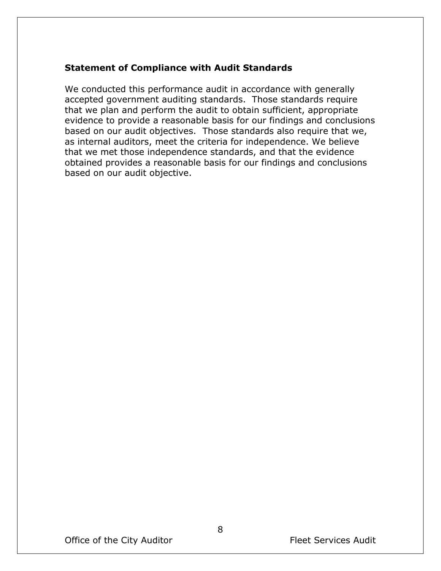#### **Statement of Compliance with Audit Standards**

We conducted this performance audit in accordance with generally accepted government auditing standards. Those standards require that we plan and perform the audit to obtain sufficient, appropriate evidence to provide a reasonable basis for our findings and conclusions based on our audit objectives. Those standards also require that we, as internal auditors, meet the criteria for independence. We believe that we met those independence standards, and that the evidence obtained provides a reasonable basis for our findings and conclusions based on our audit objective.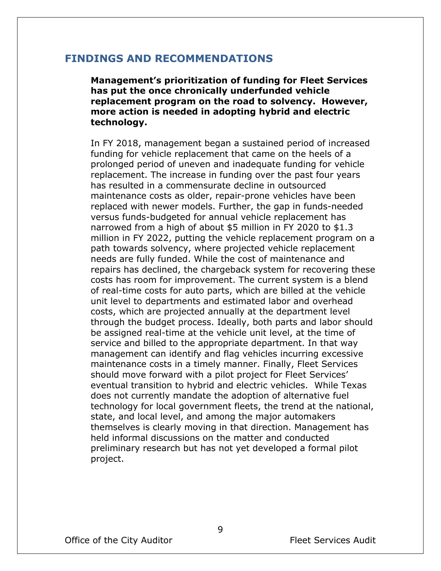#### **FINDINGS AND RECOMMENDATIONS**

**Management's prioritization of funding for Fleet Services has put the once chronically underfunded vehicle replacement program on the road to solvency. However, more action is needed in adopting hybrid and electric technology.** 

In FY 2018, management began a sustained period of increased funding for vehicle replacement that came on the heels of a prolonged period of uneven and inadequate funding for vehicle replacement. The increase in funding over the past four years has resulted in a commensurate decline in outsourced maintenance costs as older, repair-prone vehicles have been replaced with newer models. Further, the gap in funds-needed versus funds-budgeted for annual vehicle replacement has narrowed from a high of about \$5 million in FY 2020 to \$1.3 million in FY 2022, putting the vehicle replacement program on a path towards solvency, where projected vehicle replacement needs are fully funded. While the cost of maintenance and repairs has declined, the chargeback system for recovering these costs has room for improvement. The current system is a blend of real-time costs for auto parts, which are billed at the vehicle unit level to departments and estimated labor and overhead costs, which are projected annually at the department level through the budget process. Ideally, both parts and labor should be assigned real-time at the vehicle unit level, at the time of service and billed to the appropriate department. In that way management can identify and flag vehicles incurring excessive maintenance costs in a timely manner. Finally, Fleet Services should move forward with a pilot project for Fleet Services' eventual transition to hybrid and electric vehicles. While Texas does not currently mandate the adoption of alternative fuel technology for local government fleets, the trend at the national, state, and local level, and among the major automakers themselves is clearly moving in that direction. Management has held informal discussions on the matter and conducted preliminary research but has not yet developed a formal pilot project.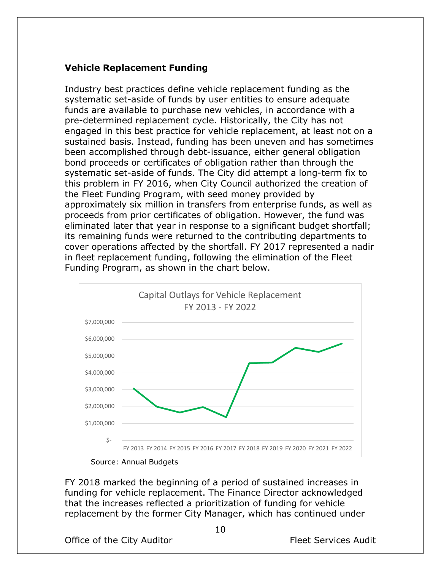#### **Vehicle Replacement Funding**

Industry best practices define vehicle replacement funding as the systematic set-aside of funds by user entities to ensure adequate funds are available to purchase new vehicles, in accordance with a pre-determined replacement cycle. Historically, the City has not engaged in this best practice for vehicle replacement, at least not on a sustained basis. Instead, funding has been uneven and has sometimes been accomplished through debt-issuance, either general obligation bond proceeds or certificates of obligation rather than through the systematic set-aside of funds. The City did attempt a long-term fix to this problem in FY 2016, when City Council authorized the creation of the Fleet Funding Program, with seed money provided by approximately six million in transfers from enterprise funds, as well as proceeds from prior certificates of obligation. However, the fund was eliminated later that year in response to a significant budget shortfall; its remaining funds were returned to the contributing departments to cover operations affected by the shortfall. FY 2017 represented a nadir in fleet replacement funding, following the elimination of the Fleet Funding Program, as shown in the chart below.



FY 2018 marked the beginning of a period of sustained increases in funding for vehicle replacement. The Finance Director acknowledged that the increases reflected a prioritization of funding for vehicle replacement by the former City Manager, which has continued under

Office of the City Auditor **Fleet Services** Audit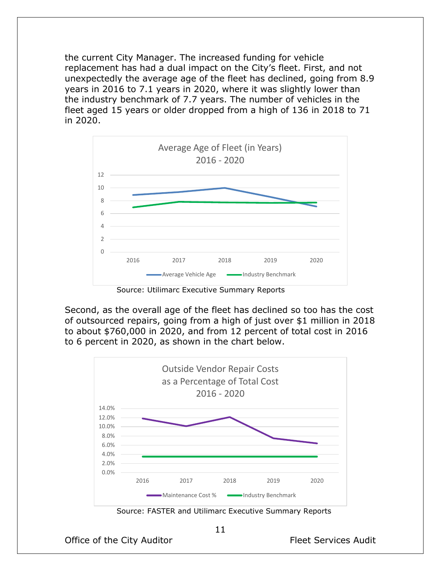the current City Manager. The increased funding for vehicle replacement has had a dual impact on the City's fleet. First, and not unexpectedly the average age of the fleet has declined, going from 8.9 years in 2016 to 7.1 years in 2020, where it was slightly lower than the industry benchmark of 7.7 years. The number of vehicles in the fleet aged 15 years or older dropped from a high of 136 in 2018 to 71 in 2020.



Source: Utilimarc Executive Summary Reports

Second, as the overall age of the fleet has declined so too has the cost of outsourced repairs, going from a high of just over \$1 million in 2018 to about \$760,000 in 2020, and from 12 percent of total cost in 2016 to 6 percent in 2020, as shown in the chart below.



Source: FASTER and Utilimarc Executive Summary Reports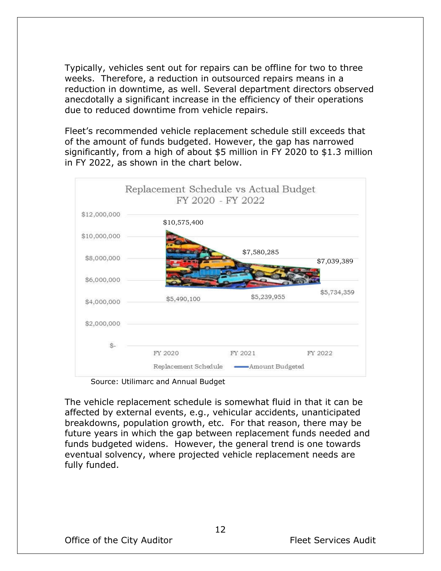Typically, vehicles sent out for repairs can be offline for two to three weeks. Therefore, a reduction in outsourced repairs means in a reduction in downtime, as well. Several department directors observed anecdotally a significant increase in the efficiency of their operations due to reduced downtime from vehicle repairs.

Fleet's recommended vehicle replacement schedule still exceeds that of the amount of funds budgeted. However, the gap has narrowed significantly, from a high of about \$5 million in FY 2020 to \$1.3 million in FY 2022, as shown in the chart below.



Source: Utilimarc and Annual Budget

The vehicle replacement schedule is somewhat fluid in that it can be affected by external events, e.g., vehicular accidents, unanticipated breakdowns, population growth, etc. For that reason, there may be future years in which the gap between replacement funds needed and funds budgeted widens. However, the general trend is one towards eventual solvency, where projected vehicle replacement needs are fully funded.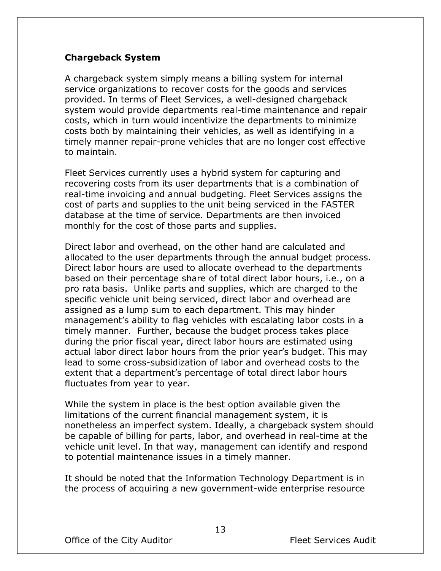#### **Chargeback System**

A chargeback system simply means a billing system for internal service organizations to recover costs for the goods and services provided. In terms of Fleet Services, a well-designed chargeback system would provide departments real-time maintenance and repair costs, which in turn would incentivize the departments to minimize costs both by maintaining their vehicles, as well as identifying in a timely manner repair-prone vehicles that are no longer cost effective to maintain.

Fleet Services currently uses a hybrid system for capturing and recovering costs from its user departments that is a combination of real-time invoicing and annual budgeting. Fleet Services assigns the cost of parts and supplies to the unit being serviced in the FASTER database at the time of service. Departments are then invoiced monthly for the cost of those parts and supplies.

Direct labor and overhead, on the other hand are calculated and allocated to the user departments through the annual budget process. Direct labor hours are used to allocate overhead to the departments based on their percentage share of total direct labor hours, i.e., on a pro rata basis. Unlike parts and supplies, which are charged to the specific vehicle unit being serviced, direct labor and overhead are assigned as a lump sum to each department. This may hinder management's ability to flag vehicles with escalating labor costs in a timely manner. Further, because the budget process takes place during the prior fiscal year, direct labor hours are estimated using actual labor direct labor hours from the prior year's budget. This may lead to some cross-subsidization of labor and overhead costs to the extent that a department's percentage of total direct labor hours fluctuates from year to year.

While the system in place is the best option available given the limitations of the current financial management system, it is nonetheless an imperfect system. Ideally, a chargeback system should be capable of billing for parts, labor, and overhead in real-time at the vehicle unit level. In that way, management can identify and respond to potential maintenance issues in a timely manner.

It should be noted that the Information Technology Department is in the process of acquiring a new government-wide enterprise resource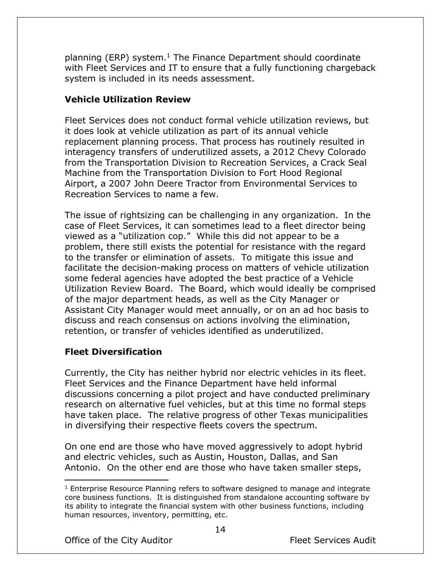planning (ERP) system. $<sup>1</sup>$  The Finance Department should coordinate</sup> with Fleet Services and IT to ensure that a fully functioning chargeback system is included in its needs assessment.

#### **Vehicle Utilization Review**

Fleet Services does not conduct formal vehicle utilization reviews, but it does look at vehicle utilization as part of its annual vehicle replacement planning process. That process has routinely resulted in interagency transfers of underutilized assets, a 2012 Chevy Colorado from the Transportation Division to Recreation Services, a Crack Seal Machine from the Transportation Division to Fort Hood Regional Airport, a 2007 John Deere Tractor from Environmental Services to Recreation Services to name a few.

The issue of rightsizing can be challenging in any organization. In the case of Fleet Services, it can sometimes lead to a fleet director being viewed as a "utilization cop." While this did not appear to be a problem, there still exists the potential for resistance with the regard to the transfer or elimination of assets. To mitigate this issue and facilitate the decision-making process on matters of vehicle utilization some federal agencies have adopted the best practice of a Vehicle Utilization Review Board. The Board, which would ideally be comprised of the major department heads, as well as the City Manager or Assistant City Manager would meet annually, or on an ad hoc basis to discuss and reach consensus on actions involving the elimination, retention, or transfer of vehicles identified as underutilized.

#### **Fleet Diversification**

Currently, the City has neither hybrid nor electric vehicles in its fleet. Fleet Services and the Finance Department have held informal discussions concerning a pilot project and have conducted preliminary research on alternative fuel vehicles, but at this time no formal steps have taken place. The relative progress of other Texas municipalities in diversifying their respective fleets covers the spectrum.

On one end are those who have moved aggressively to adopt hybrid and electric vehicles, such as Austin, Houston, Dallas, and San Antonio. On the other end are those who have taken smaller steps,

 $1$  Enterprise Resource Planning refers to software designed to manage and integrate core business functions. It is distinguished from standalone accounting software by its ability to integrate the financial system with other business functions, including human resources, inventory, permitting, etc.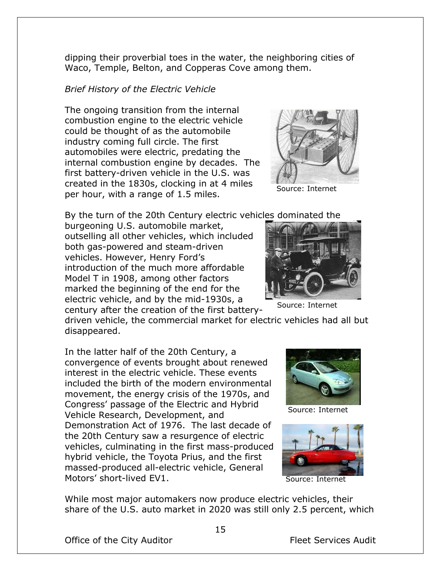Office of the City Auditor **Fleet Services** Audit

Motors' short-lived EV1.

Source: Internet

driven vehicle, the commercial market for electric vehicles had all but disappeared. In the latter half of the 20th Century, a

burgeoning U.S. automobile market, outselling all other vehicles, which included both gas-powered and steam-driven vehicles. However, Henry Ford's introduction of the much more affordable

first battery-driven vehicle in the U.S. was created in the 1830s, clocking in at 4 miles per hour, with a range of 1.5 miles.

By the turn of the 20th Century electric vehicles dominated the

dipping their proverbial toes in the water, the neighboring cities of

Waco, Temple, Belton, and Copperas Cove among them.

*Brief History of the Electric Vehicle*

The ongoing transition from the internal combustion engine to the electric vehicle could be thought of as the automobile industry coming full circle. The first

automobiles were electric, predating the

Model T in 1908, among other factors marked the beginning of the end for the electric vehicle, and by the mid-1930s, a

Vehicle Research, Development, and

convergence of events brought about renewed interest in the electric vehicle. These events included the birth of the modern environmental movement, the energy crisis of the 1970s, and Congress' passage of the Electric and Hybrid

Demonstration Act of 1976. The last decade of the 20th Century saw a resurgence of electric vehicles, culminating in the first mass-produced hybrid vehicle, the Toyota Prius, and the first massed-produced all-electric vehicle, General

internal combustion engine by decades. The

century after the creation of the first battery-



Source: Internet





share of the U.S. auto market in 2020 was still only 2.5 percent, which

While most major automakers now produce electric vehicles, their

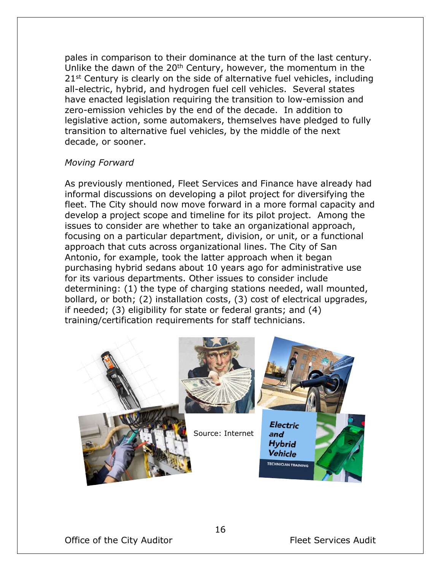pales in comparison to their dominance at the turn of the last century. Unlike the dawn of the 20<sup>th</sup> Century, however, the momentum in the 21<sup>st</sup> Century is clearly on the side of alternative fuel vehicles, including all-electric, hybrid, and hydrogen fuel cell vehicles. Several states have enacted legislation requiring the transition to low-emission and zero-emission vehicles by the end of the decade. In addition to legislative action, some automakers, themselves have pledged to fully transition to alternative fuel vehicles, by the middle of the next decade, or sooner.

#### *Moving Forward*

As previously mentioned, Fleet Services and Finance have already had informal discussions on developing a pilot project for diversifying the fleet. The City should now move forward in a more formal capacity and develop a project scope and timeline for its pilot project. Among the issues to consider are whether to take an organizational approach, focusing on a particular department, division, or unit, or a functional approach that cuts across organizational lines. The City of San Antonio, for example, took the latter approach when it began purchasing hybrid sedans about 10 years ago for administrative use for its various departments. Other issues to consider include determining: (1) the type of charging stations needed, wall mounted, bollard, or both; (2) installation costs, (3) cost of electrical upgrades, if needed; (3) eligibility for state or federal grants; and (4) training/certification requirements for staff technicians.

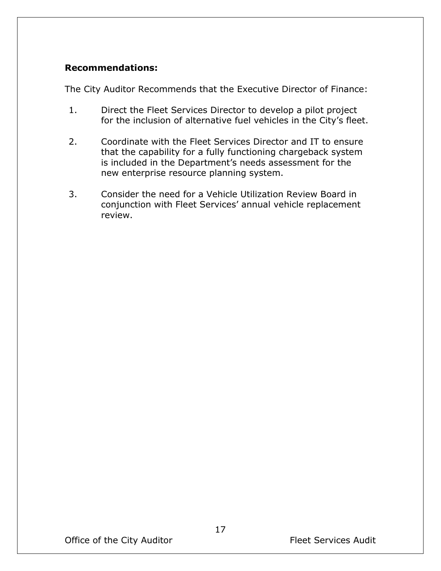### **Recommendations:**

The City Auditor Recommends that the Executive Director of Finance:

- 1. Direct the Fleet Services Director to develop a pilot project for the inclusion of alternative fuel vehicles in the City's fleet.
- 2. Coordinate with the Fleet Services Director and IT to ensure that the capability for a fully functioning chargeback system is included in the Department's needs assessment for the new enterprise resource planning system.
- 3. Consider the need for a Vehicle Utilization Review Board in conjunction with Fleet Services' annual vehicle replacement review.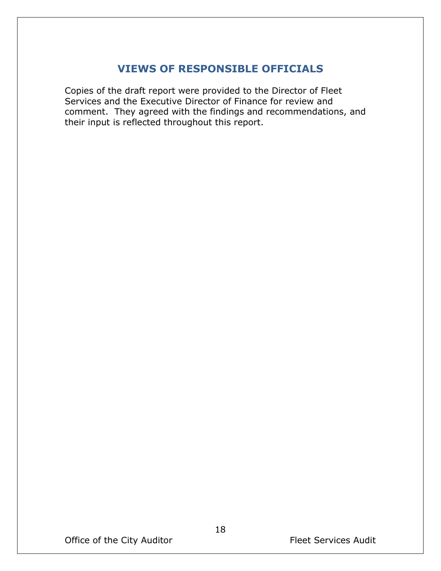## **VIEWS OF RESPONSIBLE OFFICIALS**

Copies of the draft report were provided to the Director of Fleet Services and the Executive Director of Finance for review and comment. They agreed with the findings and recommendations, and their input is reflected throughout this report.

Office of the City Auditor **Fleet Services Auditor** Fleet Services Audit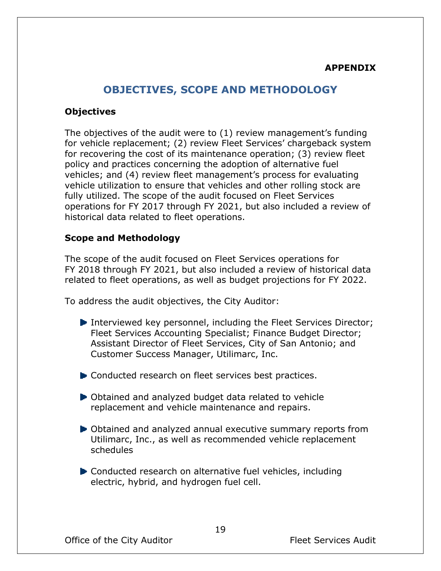#### **APPENDIX**

### **OBJECTIVES, SCOPE AND METHODOLOGY**

#### **Objectives**

The objectives of the audit were to (1) review management's funding for vehicle replacement; (2) review Fleet Services' chargeback system for recovering the cost of its maintenance operation; (3) review fleet policy and practices concerning the adoption of alternative fuel vehicles; and (4) review fleet management's process for evaluating vehicle utilization to ensure that vehicles and other rolling stock are fully utilized. The scope of the audit focused on Fleet Services operations for FY 2017 through FY 2021, but also included a review of historical data related to fleet operations.

#### **Scope and Methodology**

The scope of the audit focused on Fleet Services operations for FY 2018 through FY 2021, but also included a review of historical data related to fleet operations, as well as budget projections for FY 2022.

To address the audit objectives, the City Auditor:

- Interviewed key personnel, including the Fleet Services Director; Fleet Services Accounting Specialist; Finance Budget Director; Assistant Director of Fleet Services, City of San Antonio; and Customer Success Manager, Utilimarc, Inc.
- $\blacktriangleright$  Conducted research on fleet services best practices.
- Obtained and analyzed budget data related to vehicle replacement and vehicle maintenance and repairs.
- Obtained and analyzed annual executive summary reports from Utilimarc, Inc., as well as recommended vehicle replacement schedules
- Conducted research on alternative fuel vehicles, including electric, hybrid, and hydrogen fuel cell.